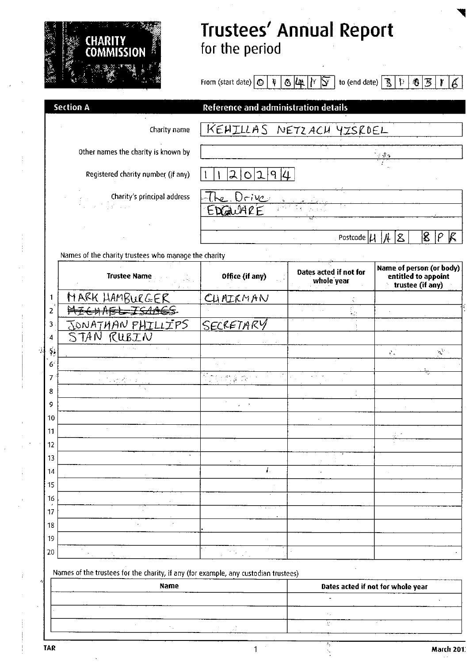

### Trustees' Annual Repor for the perio $\epsilon$

From (start date)  $\boxed{\bigcirc \ket{\psi} \bigcirc [\psi \ket{Y} \bigcirc'}$  to (end date)  $\boxed{\mathcal{B} \ket{\psi} \otimes \mathcal{B} \ket{Y}}$  $|6|$ 

|                        | <b>Section A</b>                                                                                                                                                                                                                                                                                                                                                                                                                                                                       | Reference and administration details                                                                             |                                      |                                                                     |  |  |
|------------------------|----------------------------------------------------------------------------------------------------------------------------------------------------------------------------------------------------------------------------------------------------------------------------------------------------------------------------------------------------------------------------------------------------------------------------------------------------------------------------------------|------------------------------------------------------------------------------------------------------------------|--------------------------------------|---------------------------------------------------------------------|--|--|
|                        | Charity name                                                                                                                                                                                                                                                                                                                                                                                                                                                                           | KEHILLAS NETZACH YISROEL                                                                                         |                                      |                                                                     |  |  |
|                        | Other names the charity is known by                                                                                                                                                                                                                                                                                                                                                                                                                                                    | $\mathcal{A}$ , $\mathcal{Q}$ or                                                                                 |                                      |                                                                     |  |  |
|                        | Registered charity number (if any)                                                                                                                                                                                                                                                                                                                                                                                                                                                     | 2 0 2 9 4                                                                                                        |                                      |                                                                     |  |  |
|                        | ${\bf \hat{S}} = \left\{ \begin{array}{l} {\bf \hat{S}} \\ {\bf \hat{S}} \\ {\bf \hat{S}} \\ {\bf \hat{S}} \\ {\bf \hat{S}} \\ {\bf \hat{S}} \\ {\bf \hat{S}} \\ {\bf \hat{S}} \\ {\bf \hat{S}} \\ {\bf \hat{S}} \\ {\bf \hat{S}} \\ {\bf \hat{S}} \\ {\bf \hat{S}} \\ {\bf \hat{S}} \\ {\bf \hat{S}} \\ {\bf \hat{S}} \\ {\bf \hat{S}} \\ {\bf \hat{S}} \\ {\bf \hat{S}} \\ {\bf \hat{S}} \\ {\bf \hat{S}} \\ {\bf \hat{S}} \\ {\bf \hat{S}} \\ {\bf \hat{S}} \\ {\bf \hat{S}} \\ {\$ | Drivc <sub>i</sub><br>EDGWARE                                                                                    |                                      |                                                                     |  |  |
|                        |                                                                                                                                                                                                                                                                                                                                                                                                                                                                                        |                                                                                                                  |                                      |                                                                     |  |  |
|                        |                                                                                                                                                                                                                                                                                                                                                                                                                                                                                        |                                                                                                                  | Postcode $ \mu $                     | 8 <br>K<br>$8^{\circ}$<br>$ \rho $<br>Ĥ                             |  |  |
|                        | Names of the charity trustees who manage the charity                                                                                                                                                                                                                                                                                                                                                                                                                                   |                                                                                                                  |                                      |                                                                     |  |  |
|                        | <b>Trustee Name</b><br>$2\leq i\leq r$                                                                                                                                                                                                                                                                                                                                                                                                                                                 | Office (if any)                                                                                                  | Dates acted if not for<br>whole year | Name of person (or body)<br>entitled to appoint<br>trustee (if any) |  |  |
| 1                      | MARK HAMBURGER                                                                                                                                                                                                                                                                                                                                                                                                                                                                         | CUMICMAN                                                                                                         |                                      |                                                                     |  |  |
| 2                      | <del>NICHABL ISAACS</del>                                                                                                                                                                                                                                                                                                                                                                                                                                                              |                                                                                                                  | $\frac{1}{\sqrt{2}}$                 |                                                                     |  |  |
| 3                      | JONATHAN PHILLIPS                                                                                                                                                                                                                                                                                                                                                                                                                                                                      | <u>SECRETARY</u>                                                                                                 |                                      |                                                                     |  |  |
| 4                      | STAN RUBIN                                                                                                                                                                                                                                                                                                                                                                                                                                                                             |                                                                                                                  |                                      |                                                                     |  |  |
| $\tilde{\mathbf{a}}_k$ |                                                                                                                                                                                                                                                                                                                                                                                                                                                                                        |                                                                                                                  |                                      | $\mathfrak{g}^{\mathcal{M}}$ .<br>$\mathbf{s}^{(0)}$ .              |  |  |
| 6 <sup>2</sup>         |                                                                                                                                                                                                                                                                                                                                                                                                                                                                                        |                                                                                                                  |                                      |                                                                     |  |  |
| 7                      |                                                                                                                                                                                                                                                                                                                                                                                                                                                                                        | $\overline{A_{\alpha}^{\alpha}(\sigma)}\leq A_{\alpha}^{\alpha}(\frac{\sigma}{\sigma})\leq\frac{\sigma}{\sigma}$ |                                      |                                                                     |  |  |
| 8                      |                                                                                                                                                                                                                                                                                                                                                                                                                                                                                        | $\sim$                                                                                                           |                                      |                                                                     |  |  |
| 9                      |                                                                                                                                                                                                                                                                                                                                                                                                                                                                                        | $\chi^2 \to \pi^0$                                                                                               |                                      |                                                                     |  |  |
| 10                     |                                                                                                                                                                                                                                                                                                                                                                                                                                                                                        |                                                                                                                  |                                      |                                                                     |  |  |
| 11                     |                                                                                                                                                                                                                                                                                                                                                                                                                                                                                        |                                                                                                                  |                                      |                                                                     |  |  |
| 12<br>13               |                                                                                                                                                                                                                                                                                                                                                                                                                                                                                        |                                                                                                                  |                                      |                                                                     |  |  |
| 14                     |                                                                                                                                                                                                                                                                                                                                                                                                                                                                                        | $\boldsymbol{l}$                                                                                                 |                                      |                                                                     |  |  |
| 15                     |                                                                                                                                                                                                                                                                                                                                                                                                                                                                                        |                                                                                                                  |                                      |                                                                     |  |  |
| 16                     |                                                                                                                                                                                                                                                                                                                                                                                                                                                                                        |                                                                                                                  |                                      |                                                                     |  |  |
| ×<br>17                |                                                                                                                                                                                                                                                                                                                                                                                                                                                                                        | $\mathbf{u} = \mathbf{u}$ .                                                                                      |                                      |                                                                     |  |  |
| 18                     |                                                                                                                                                                                                                                                                                                                                                                                                                                                                                        |                                                                                                                  |                                      |                                                                     |  |  |
| 19                     |                                                                                                                                                                                                                                                                                                                                                                                                                                                                                        |                                                                                                                  |                                      |                                                                     |  |  |
| 20                     |                                                                                                                                                                                                                                                                                                                                                                                                                                                                                        |                                                                                                                  |                                      |                                                                     |  |  |

Names of the trustees for the charity, if any (for example, any custodian trustees)

| --- | <b>Name</b>   |  |  | Dates acted if not for whole year |  |  |
|-----|---------------|--|--|-----------------------------------|--|--|
|     |               |  |  |                                   |  |  |
|     | $\sim$ $\sim$ |  |  |                                   |  |  |
|     |               |  |  |                                   |  |  |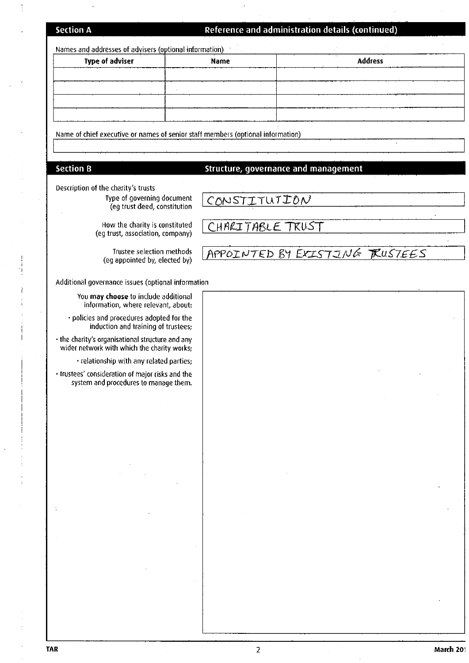#### **Section A**

 $\ddot{\phantom{1}}$ 

 $\frac{1}{2}$ 

#### Reference and administration details (continued)

| Names and addresses of advisers (optional information)                                          |  |                  |                                      |                |  |  |
|-------------------------------------------------------------------------------------------------|--|------------------|--------------------------------------|----------------|--|--|
| <b>Type of adviser</b>                                                                          |  | Name             |                                      | <b>Address</b> |  |  |
|                                                                                                 |  |                  |                                      |                |  |  |
|                                                                                                 |  |                  |                                      |                |  |  |
|                                                                                                 |  |                  |                                      |                |  |  |
|                                                                                                 |  |                  |                                      |                |  |  |
| Name of chief executive or names of senior staff members (optional information)                 |  |                  |                                      |                |  |  |
|                                                                                                 |  |                  |                                      |                |  |  |
| <b>Section B</b>                                                                                |  |                  | Structure, governance and management |                |  |  |
| Description of the charity's trusts                                                             |  |                  |                                      |                |  |  |
| Type of governing document<br>(eg trust deed, constitution                                      |  | CONSTITUTION     |                                      |                |  |  |
|                                                                                                 |  |                  |                                      |                |  |  |
| How the charity is constituted<br>(eg trust, association, company)                              |  | CHARITABLE TRUST |                                      |                |  |  |
| Trustee selection methods<br>(eg appointed by, elected by)                                      |  |                  | APPOINTED BY EXISTING RUSTEES        |                |  |  |
| Additional governance issues (optional information                                              |  |                  |                                      |                |  |  |
| You may choose to include additional<br>information, where relevant, about:                     |  |                  |                                      |                |  |  |
| · policies and procedures adopted for the<br>induction and training of trustees;                |  |                  |                                      |                |  |  |
| • the charity's organisational structure and any<br>wider network with which the charity works; |  |                  |                                      |                |  |  |
| · relationship with any related parties:                                                        |  |                  |                                      |                |  |  |
| · trustees' consideration of major risks and the<br>system and procedures to manage them.       |  |                  |                                      |                |  |  |
|                                                                                                 |  |                  |                                      |                |  |  |
|                                                                                                 |  |                  |                                      |                |  |  |
|                                                                                                 |  |                  |                                      |                |  |  |
|                                                                                                 |  |                  |                                      |                |  |  |
|                                                                                                 |  |                  |                                      |                |  |  |
|                                                                                                 |  |                  |                                      |                |  |  |
|                                                                                                 |  |                  |                                      |                |  |  |
|                                                                                                 |  |                  |                                      |                |  |  |
|                                                                                                 |  |                  |                                      |                |  |  |
|                                                                                                 |  |                  |                                      |                |  |  |
|                                                                                                 |  |                  |                                      |                |  |  |
|                                                                                                 |  |                  |                                      |                |  |  |
|                                                                                                 |  |                  |                                      |                |  |  |
|                                                                                                 |  |                  |                                      |                |  |  |
|                                                                                                 |  |                  |                                      |                |  |  |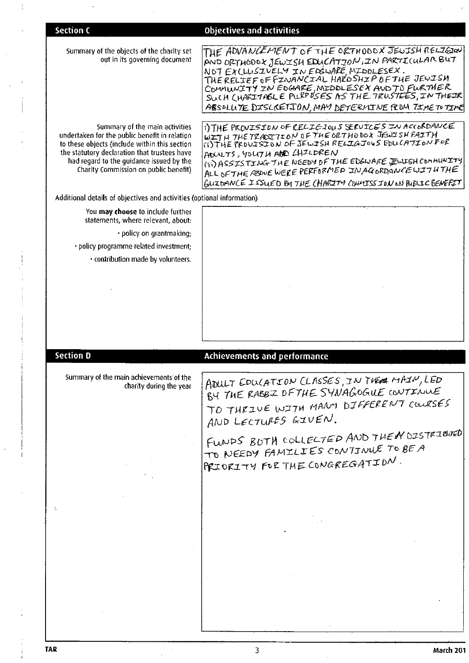| <b>Section C</b>                                                                              | <b>Objectives and activities</b>                                                                       |
|-----------------------------------------------------------------------------------------------|--------------------------------------------------------------------------------------------------------|
|                                                                                               |                                                                                                        |
| Summary of the objects of the charity set<br>out in its governing document                    | THE ADVANCEMENT OF THE ORTHODOX JEWISH RELIGION<br>AND ORTHODOX JEWISH EDUCATION, IN PARTICULAR BUT    |
|                                                                                               | NOT EXCLUSIVELY IN EDGUALE MIDDLESEX.<br>THE RELIEF OF FINANCIAL HAKOSHIP OF THE JEWISH                |
|                                                                                               |                                                                                                        |
|                                                                                               | COMMUNITY ZN EDGARE, MIDDLESEX AND TO FURTMER                                                          |
|                                                                                               | ABSOLUTE DISCRETION, MAY DETERMINE FROM TIME TO TIME                                                   |
| Summary of the main activities<br>undertaken for the public benefit in relation               | i) THE PROVISION OF RELIGIOUS SERVICES IN ACCORDANCE<br>WITH THE TRACTION OF THE GRTHODOX JEWISH FAITH |
| to these objects (include within this section<br>the statutory declaration that trustees have | (I) THE PROUJSION OF JEWISH RELIGIOUS EDUCATION FOR<br>ADULTS, YOUTH AND CHILDREN                      |
| had regard to the guidance issued by the                                                      | (ii) ASSISTING THE NEEDY OF THE EDGWARE JEWISH COMMUNITY                                               |
| Charity Commission on public benefit)                                                         | ALL OF THE ABOVE WERE PERFORMED IN AGORDANCEWITH THE                                                   |
| Additional details of objectives and activities (optional information)                        | GUIDANCE I SSUED BY THE CHARITY CONNISS ION ON RUBLIC BENEFIT                                          |
| You may choose to include further                                                             |                                                                                                        |
| statements, where relevant, about:                                                            |                                                                                                        |
| · policy on grantmaking;                                                                      |                                                                                                        |
| · policy programme related investment;                                                        |                                                                                                        |
| · contribution made by volunteers.                                                            |                                                                                                        |
|                                                                                               |                                                                                                        |
|                                                                                               |                                                                                                        |
|                                                                                               |                                                                                                        |
|                                                                                               |                                                                                                        |
|                                                                                               |                                                                                                        |
| <b>Section D</b>                                                                              |                                                                                                        |
|                                                                                               | Achievements and performance                                                                           |
| Summary of the main achievements of the<br>charity during the year                            | ADULT EDUCATION CLASSES, IN THERE MAIN, LED                                                            |
|                                                                                               | BY THE RABBZ DFTHE SYNAGOGUE CONTINUE                                                                  |
|                                                                                               | TO THRIVE WITH MANY DIFFERENT COURSES                                                                  |
|                                                                                               | AND LECTURES GIVEN.                                                                                    |
|                                                                                               | FUNDS BOTH COLLECTED AND THEN OISTRIGHTED                                                              |
|                                                                                               | TO NEEDY FAMILIES CONTINUE TO BE A                                                                     |
|                                                                                               |                                                                                                        |
|                                                                                               |                                                                                                        |
|                                                                                               | <b>PRIORITY FOR THE CONGREGATION.</b>                                                                  |
|                                                                                               |                                                                                                        |
|                                                                                               |                                                                                                        |
|                                                                                               |                                                                                                        |
|                                                                                               |                                                                                                        |
|                                                                                               |                                                                                                        |
|                                                                                               |                                                                                                        |
|                                                                                               |                                                                                                        |
|                                                                                               |                                                                                                        |
|                                                                                               |                                                                                                        |

 $\frac{1}{4}$ 

 $\ddot{\phantom{a}}$ 

 $\bar{\beta}$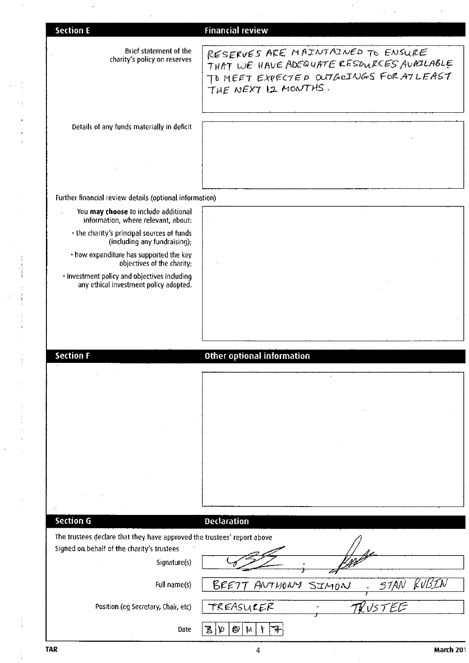| <b>Section E</b>                                                                       | <b>Financial review</b>                                                                                                                          |
|----------------------------------------------------------------------------------------|--------------------------------------------------------------------------------------------------------------------------------------------------|
|                                                                                        |                                                                                                                                                  |
| Brief statement of the<br>charity's policy on reserves                                 | RESERVES ARE MAINTAINED TO ENSURE<br>THAT WE HAVE ADEQUATE RESOURCES AURILIABLE<br>TO MEET EXPECTED OUTGOINGS FOR ATLEAST<br>THE NEXT IZ MONTHS. |
| Details of any funds materially in deficit                                             |                                                                                                                                                  |
|                                                                                        |                                                                                                                                                  |
| Further financial review details (optional information)                                |                                                                                                                                                  |
| You may choose to include additional<br>information, where relevant, about:            |                                                                                                                                                  |
| · the charity's principal sources of funds<br>(including any fundraising);             |                                                                                                                                                  |
| · how expenditure has supported the key<br>objectives of the charity;                  |                                                                                                                                                  |
| · investment policy and objectives including<br>any ethical investment policy adopted. |                                                                                                                                                  |
|                                                                                        |                                                                                                                                                  |
|                                                                                        |                                                                                                                                                  |
| <b>Section F</b>                                                                       | Other optional information                                                                                                                       |
|                                                                                        |                                                                                                                                                  |
|                                                                                        |                                                                                                                                                  |
|                                                                                        |                                                                                                                                                  |
|                                                                                        |                                                                                                                                                  |
|                                                                                        |                                                                                                                                                  |
|                                                                                        |                                                                                                                                                  |
|                                                                                        |                                                                                                                                                  |
| 4<br>Section G                                                                         | Declaration                                                                                                                                      |
| The trustees declare that they have approved the trustees' report above                |                                                                                                                                                  |
| Signed on behalf of the charity's trustees                                             |                                                                                                                                                  |
| Signature(s)                                                                           |                                                                                                                                                  |
| Full name(s)                                                                           | BRETT ANTHONY<br>57AN<br>SIMON                                                                                                                   |
| Position (eg Secretary, Chair, etc)                                                    | TREASURER<br>$TV$ UST                                                                                                                            |
| Date                                                                                   | O<br>Ъ<br>уp<br>$\mathbf{h}$                                                                                                                     |
| <b>TAR</b>                                                                             | March 201<br>4                                                                                                                                   |

 $\epsilon$ 

 $\gamma_{\rm s}$  (  $\gamma_{\rm s}$  $\bar{\phantom{a}}$   $\bar{\gamma}$ 

 $\frac{1}{4}$ 

J,

 $\hat{\boldsymbol{\theta}}$ 

 $\bar{\tau}$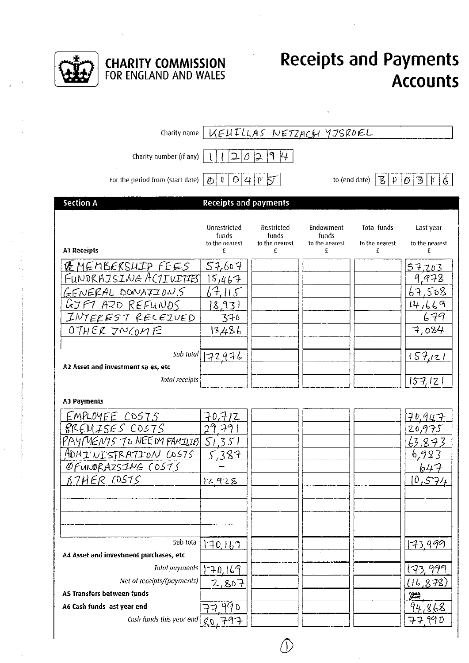

# **CHARITY COMMISSION**<br>FOR ENGLAND AND WALES

### **Receipts and Payments Accounts**

|                                                                                                                                                                                       | Charity name   KEUILLAS NETZACH YJSROEL                        |                                            |                                           |                                   |                                                                                 |
|---------------------------------------------------------------------------------------------------------------------------------------------------------------------------------------|----------------------------------------------------------------|--------------------------------------------|-------------------------------------------|-----------------------------------|---------------------------------------------------------------------------------|
| Charity number (if any)                                                                                                                                                               | $\vert 2 \vert$                                                | 19H<br>$0\vert 2$                          |                                           |                                   |                                                                                 |
| For the period from (start date)                                                                                                                                                      | $\mathfrak{P}^-$<br>$\rho$                                     | 0 4 05                                     | to (end date)                             | BΙ<br>$\mathsf{p}$                | 6<br>ී<br>$ \mathcal{O} $<br>$\mathbf{F}$                                       |
| Section A                                                                                                                                                                             | <b>Receipts and payments</b>                                   |                                            |                                           |                                   |                                                                                 |
| <b>A1 Receipts</b>                                                                                                                                                                    | Unrestricted<br>funds<br>to the nearest<br>£                   | Restricted<br>funds<br>to the nearest<br>£ | Endowment<br>funds<br>to the nearest<br>£ | Tota funds<br>to the nearest<br>£ | Last year<br>to the nearest<br>£                                                |
| <b>E</b> MEMBERSHIP FEES<br>FUNDRAJSI <i>NG</i> ACJIUITIBI<br>GENERAL DONATIONS<br>GJF1 AZD REFUNDS<br>INTEREST RECEZUED<br>OTHER INCOME                                              | 57,607<br>15,467<br>67.115<br><u> 8,931</u><br>370<br>13486    |                                            |                                           |                                   | <u>57,203</u><br>9,978<br>67,508<br>14,669<br>679<br>7,084                      |
| Sub total<br>A2 Asset and investment sa es, etc<br>Total receipts                                                                                                                     | <u> 72976</u>                                                  |                                            |                                           |                                   | 157/121<br>15712                                                                |
| <b>A3 Payments</b>                                                                                                                                                                    |                                                                |                                            |                                           |                                   |                                                                                 |
| EMPLOYEE COSTS<br>RREMISES COSTS<br>PAYMENIS TO NEEDY FAMILIES SI351<br>ADUINISTRATION COSTS<br>ØFUNDRAZSING (0575<br><u>BTHER COSTS</u>                                              | <u>70,712</u><br>29.79<br>5.387<br>12928                       |                                            |                                           |                                   | <u> 70,947</u><br>20,975<br><u>63.873</u><br>6,983<br><u>647 </u><br>10,574     |
| Sub tota                                                                                                                                                                              |                                                                |                                            |                                           |                                   |                                                                                 |
| A4 Asset and investment purchases, etc<br><b>Total payments</b><br>Net of receipts/(payments)<br>A5 Transfers between funds<br>A6 Cash funds ast year end<br>Cash funds this year end | <u> 170,169</u><br>70,169<br><u>2,807</u><br>77 99 D<br>80,797 |                                            |                                           |                                   | <u> 17,999 </u><br>173, 999<br><u>(16,878)</u><br>₩<br><u>94,868 </u><br>77.990 |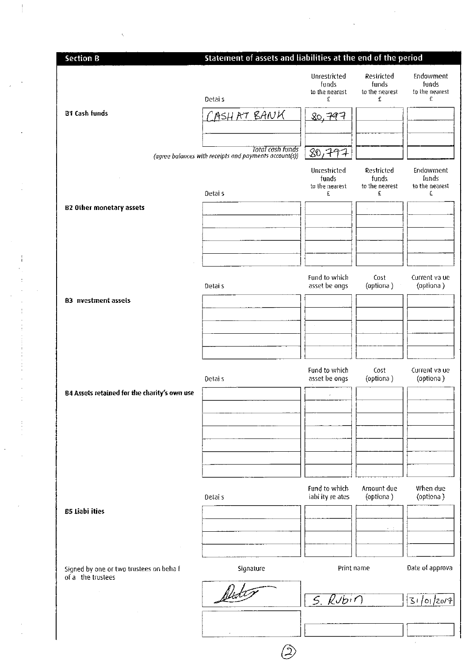| <b>Section B</b>                                             | Statement of assets and liabilities at the end of the period                      |                                              |                                            |                                           |
|--------------------------------------------------------------|-----------------------------------------------------------------------------------|----------------------------------------------|--------------------------------------------|-------------------------------------------|
|                                                              | Detais                                                                            | Unrestricted<br>funds<br>to the nearest<br>£ | Restricted<br>funds<br>to the nearest<br>£ | Endowment<br>funds<br>to the nearest<br>£ |
| <b>81 Cash funds</b>                                         | CASHAT BANK                                                                       | 80,797                                       |                                            |                                           |
|                                                              |                                                                                   |                                              |                                            |                                           |
|                                                              | <b>Total cash funds</b><br>(agree balances with receipts and payments account(s)) | 80,797                                       |                                            |                                           |
|                                                              |                                                                                   | Unrestricted                                 | Restricted                                 | Endowment                                 |
|                                                              | Detai s                                                                           | funds<br>to the nearest<br>£                 | funds<br>to the nearest<br>£               | funds<br>to the nearest<br>£              |
| <b>B2 Other monetary assets</b>                              |                                                                                   |                                              |                                            |                                           |
|                                                              |                                                                                   |                                              |                                            |                                           |
|                                                              |                                                                                   |                                              |                                            |                                           |
|                                                              |                                                                                   |                                              |                                            |                                           |
|                                                              |                                                                                   | Fund to which                                | Cost                                       | Current va ue                             |
|                                                              | Detai s                                                                           | asset be ongs                                | (optiona)                                  | (optiona)                                 |
| <b>B3</b> nvestment assets                                   |                                                                                   |                                              |                                            |                                           |
|                                                              |                                                                                   |                                              |                                            |                                           |
|                                                              |                                                                                   |                                              |                                            |                                           |
|                                                              |                                                                                   |                                              |                                            |                                           |
|                                                              | Detai s                                                                           | Fund to which<br>asset be ongs               | Cost<br>(optiona)                          | Current va ue<br>(optiona)                |
| B4 Assets retained for the charity's own use                 |                                                                                   | ×                                            |                                            |                                           |
|                                                              |                                                                                   |                                              |                                            |                                           |
|                                                              |                                                                                   |                                              |                                            |                                           |
|                                                              |                                                                                   |                                              |                                            |                                           |
|                                                              |                                                                                   |                                              |                                            |                                           |
|                                                              | Detai s                                                                           | Fund to which<br>iabi ity re ates            | Amount due<br>(optiona)                    | When due<br>(optiona)                     |
| <b>B5 Liabi ities</b>                                        |                                                                                   |                                              |                                            |                                           |
|                                                              |                                                                                   |                                              |                                            |                                           |
| $\sim$                                                       |                                                                                   |                                              |                                            |                                           |
| Signed by one or two trustees on behalf<br>of a the trustees | Signature                                                                         | Print name                                   |                                            | Date of approva                           |
| $\sim 40$                                                    |                                                                                   | $S.$ Rubin                                   |                                            | 31/01/2014                                |
|                                                              |                                                                                   |                                              |                                            |                                           |
|                                                              |                                                                                   |                                              |                                            | ż                                         |
|                                                              |                                                                                   |                                              |                                            |                                           |

 $\frac{1}{2}$ 

 $\frac{1}{4}$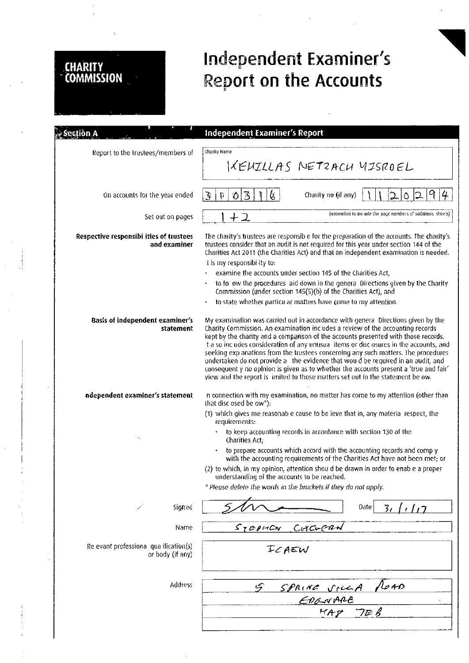## **CHARITY**<br>COMMISSION

## Independent Examiner's Report on the Accounts

| ectión A                                                  | Independent Examiner's Report                                                                                                                                                                                                                                                                                                                                                                                                                                                                                                                                                                                                                                                                            |  |  |
|-----------------------------------------------------------|----------------------------------------------------------------------------------------------------------------------------------------------------------------------------------------------------------------------------------------------------------------------------------------------------------------------------------------------------------------------------------------------------------------------------------------------------------------------------------------------------------------------------------------------------------------------------------------------------------------------------------------------------------------------------------------------------------|--|--|
| Report to the trustees/members of                         | Charity Name<br>KEUILLAS NETZACU UISROEL                                                                                                                                                                                                                                                                                                                                                                                                                                                                                                                                                                                                                                                                 |  |  |
| On accounts for the year ended                            | 9<br>$\overline{3}$<br>(š<br>$\overline{\mathbf{S}}$<br>Charity ne (if any)<br>$\bullet$<br>12<br>D.<br>$\circ$                                                                                                                                                                                                                                                                                                                                                                                                                                                                                                                                                                                          |  |  |
| Set out on pages                                          | (remember to include the page numbers of additional sheets).<br>ナユ                                                                                                                                                                                                                                                                                                                                                                                                                                                                                                                                                                                                                                       |  |  |
| Respective responsibi ities of trustees<br>and examiner   | The charity's trustees are responsib e for the preparation of the accounts. The charity's<br>trustees consider that an audit is not required for this year under section 144 of the<br>Charities Act 2011 (the Charities Act) and that an independent examination is needed.<br>t is my responsiblity to:<br>examine the accounts under section 145 of the Charities Act,                                                                                                                                                                                                                                                                                                                                |  |  |
|                                                           | to follow the procedures laid down in the general Directions given by the Charify<br>Commission (under section 145(5)(b) of the Charities Act), and                                                                                                                                                                                                                                                                                                                                                                                                                                                                                                                                                      |  |  |
|                                                           | to state whether particu ar matters have come to my attention.                                                                                                                                                                                                                                                                                                                                                                                                                                                                                                                                                                                                                                           |  |  |
| Basis of independent examiner's<br>statement              | My examination was carried out in accordance with general Directions given by the<br>Charity Commission. An examination includes a review of the accounting records<br>kept by the charity and a comparison of the accounts presented with those records.<br>t a so includes consideration of any unusual items or disclosures in the accounts, and<br>seeking exp anations from the trustees concerning any such matters. The procedures<br>undertaken do not provide a the evidence that would be required in an audit, and<br>consequent y no opinion is given as to whether the accounts present a 'true and fair'<br>view and the report is imited to those matters set out in the statement be ow. |  |  |
| ndependent examiner's statement                           | n connection with my examination, no matter has come to my attention (other than<br>that disc osed be ow <sup>*</sup> ):                                                                                                                                                                                                                                                                                                                                                                                                                                                                                                                                                                                 |  |  |
|                                                           | (1) which gives me reasonab e cause to be ieve that in, any material respect, the<br>requirements:                                                                                                                                                                                                                                                                                                                                                                                                                                                                                                                                                                                                       |  |  |
| ۰,                                                        | to keep accounting records in accordance with section 130 of the<br>Charities Act:                                                                                                                                                                                                                                                                                                                                                                                                                                                                                                                                                                                                                       |  |  |
|                                                           | to prepare accounts which accord with the accounting records and comply<br>$\bullet$<br>with the accounting requirements of the Charities Act have not been met; or                                                                                                                                                                                                                                                                                                                                                                                                                                                                                                                                      |  |  |
|                                                           | (2) to which, in my opinion, attention shou d be drawn in order to enab e a proper<br>understanding of the accounts to be reached.                                                                                                                                                                                                                                                                                                                                                                                                                                                                                                                                                                       |  |  |
|                                                           | * Please delete the words in the brackets if they do not apply.                                                                                                                                                                                                                                                                                                                                                                                                                                                                                                                                                                                                                                          |  |  |
| Signed<br>İ                                               | Date<br>$\overline{3}$<br>1/17                                                                                                                                                                                                                                                                                                                                                                                                                                                                                                                                                                                                                                                                           |  |  |
| Name                                                      | CHELERN<br>$S_L$ $E$ $P$ $H$ C $V$                                                                                                                                                                                                                                                                                                                                                                                                                                                                                                                                                                                                                                                                       |  |  |
| Re evant professiona qua ification(s)<br>or body (if any) | ICAEW                                                                                                                                                                                                                                                                                                                                                                                                                                                                                                                                                                                                                                                                                                    |  |  |
| <b>Address</b>                                            | 40 صا<br>يى<br>SPRINE VILLA                                                                                                                                                                                                                                                                                                                                                                                                                                                                                                                                                                                                                                                                              |  |  |
|                                                           | EDONARE                                                                                                                                                                                                                                                                                                                                                                                                                                                                                                                                                                                                                                                                                                  |  |  |
|                                                           | HAP<br>7EB                                                                                                                                                                                                                                                                                                                                                                                                                                                                                                                                                                                                                                                                                               |  |  |
|                                                           |                                                                                                                                                                                                                                                                                                                                                                                                                                                                                                                                                                                                                                                                                                          |  |  |